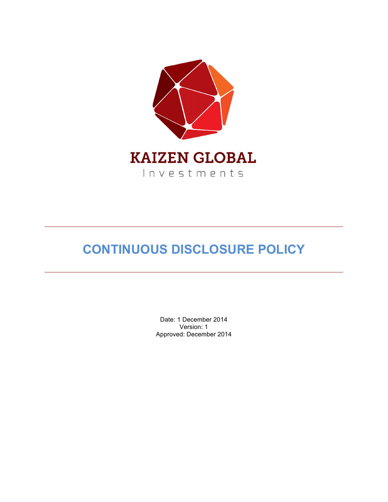

# **CONTINUOUS DISCLOSURE POLICY**

Date: 1 December 2014 Version: 1 Approved: December 2014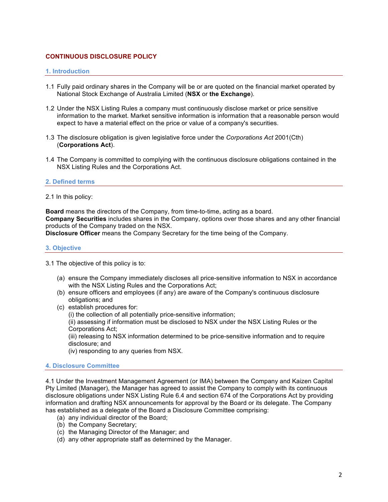# **CONTINUOUS DISCLOSURE POLICY**

## **1. Introduction**

- 1.1 Fully paid ordinary shares in the Company will be or are quoted on the financial market operated by National Stock Exchange of Australia Limited (**NSX** or **the Exchange**).
- 1.2 Under the NSX Listing Rules a company must continuously disclose market or price sensitive information to the market. Market sensitive information is information that a reasonable person would expect to have a material effect on the price or value of a company's securities.
- 1.3 The disclosure obligation is given legislative force under the *Corporations Act* 2001(Cth) (**Corporations Act**).
- 1.4 The Company is committed to complying with the continuous disclosure obligations contained in the NSX Listing Rules and the Corporations Act.

## **2. Defined terms**

## 2.1 In this policy:

**Board** means the directors of the Company, from time-to-time, acting as a board. **Company Securities** includes shares in the Company, options over those shares and any other financial products of the Company traded on the NSX.

**Disclosure Officer** means the Company Secretary for the time being of the Company.

## **3. Objective**

3.1 The objective of this policy is to:

- (a) ensure the Company immediately discloses all price-sensitive information to NSX in accordance with the NSX Listing Rules and the Corporations Act;
- (b) ensure officers and employees (if any) are aware of the Company's continuous disclosure obligations; and
- (c) establish procedures for:

(i) the collection of all potentially price-sensitive information;

(ii) assessing if information must be disclosed to NSX under the NSX Listing Rules or the Corporations Act;

(iii) releasing to NSX information determined to be price-sensitive information and to require disclosure; and

(iv) responding to any queries from NSX.

## **4. Disclosure Committee**

4.1 Under the Investment Management Agreement (or IMA) between the Company and Kaizen Capital Pty Limited (Manager), the Manager has agreed to assist the Company to comply with its continuous disclosure obligations under NSX Listing Rule 6.4 and section 674 of the Corporations Act by providing information and drafting NSX announcements for approval by the Board or its delegate. The Company has established as a delegate of the Board a Disclosure Committee comprising:

- (a) any individual director of the Board;
- (b) the Company Secretary;
- (c) the Managing Director of the Manager; and
- (d) any other appropriate staff as determined by the Manager.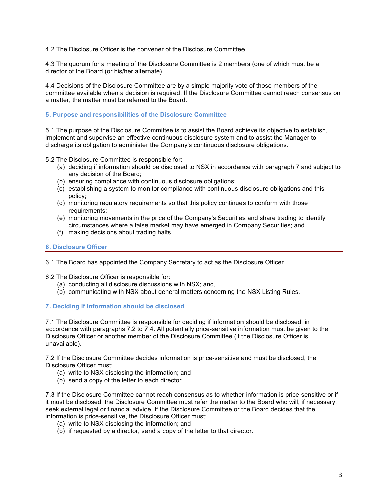4.2 The Disclosure Officer is the convener of the Disclosure Committee.

4.3 The quorum for a meeting of the Disclosure Committee is 2 members (one of which must be a director of the Board (or his/her alternate).

4.4 Decisions of the Disclosure Committee are by a simple majority vote of those members of the committee available when a decision is required. If the Disclosure Committee cannot reach consensus on a matter, the matter must be referred to the Board.

**5. Purpose and responsibilities of the Disclosure Committee**

5.1 The purpose of the Disclosure Committee is to assist the Board achieve its objective to establish, implement and supervise an effective continuous disclosure system and to assist the Manager to discharge its obligation to administer the Company's continuous disclosure obligations.

5.2 The Disclosure Committee is responsible for:

- (a) deciding if information should be disclosed to NSX in accordance with paragraph 7 and subject to any decision of the Board;
- (b) ensuring compliance with continuous disclosure obligations;
- (c) establishing a system to monitor compliance with continuous disclosure obligations and this policy;
- (d) monitoring regulatory requirements so that this policy continues to conform with those requirements:
- (e) monitoring movements in the price of the Company's Securities and share trading to identify circumstances where a false market may have emerged in Company Securities; and
- (f) making decisions about trading halts.

# **6. Disclosure Officer**

6.1 The Board has appointed the Company Secretary to act as the Disclosure Officer.

6.2 The Disclosure Officer is responsible for:

- (a) conducting all disclosure discussions with NSX; and,
- (b) communicating with NSX about general matters concerning the NSX Listing Rules.

# **7. Deciding if information should be disclosed**

7.1 The Disclosure Committee is responsible for deciding if information should be disclosed, in accordance with paragraphs 7.2 to 7.4. All potentially price-sensitive information must be given to the Disclosure Officer or another member of the Disclosure Committee (if the Disclosure Officer is unavailable).

7.2 If the Disclosure Committee decides information is price-sensitive and must be disclosed, the Disclosure Officer must:

- (a) write to NSX disclosing the information; and
- (b) send a copy of the letter to each director.

7.3 If the Disclosure Committee cannot reach consensus as to whether information is price-sensitive or if it must be disclosed, the Disclosure Committee must refer the matter to the Board who will, if necessary, seek external legal or financial advice. If the Disclosure Committee or the Board decides that the information is price-sensitive, the Disclosure Officer must:

- (a) write to NSX disclosing the information; and
- (b) if requested by a director, send a copy of the letter to that director.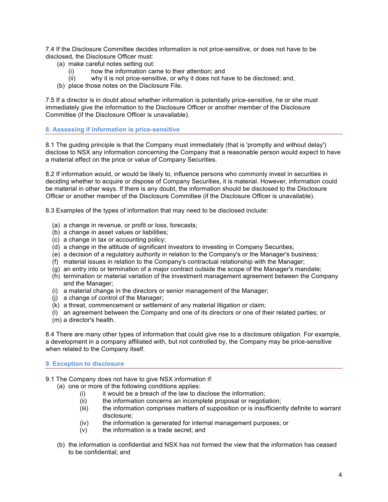7.4 If the Disclosure Committee decides information is not price-sensitive, or does not have to be disclosed, the Disclosure Officer must:

- (a) make careful notes setting out:
	- (i) how the information came to their attention; and
	- (ii) why it is not price-sensitive, or why it does not have to be disclosed; and,
- (b) place those notes on the Disclosure File.

7.5 If a director is in doubt about whether information is potentially price-sensitive, he or she must immediately give the information to the Disclosure Officer or another member of the Disclosure Committee (if the Disclosure Officer is unavailable).

# **8. Assessing if information is price-sensitive**

8.1 The guiding principle is that the Company must immediately (that is 'promptly and without delay') disclose to NSX any information concerning the Company that a reasonable person would expect to have a material effect on the price or value of Company Securities.

8.2 If information would, or would be likely to, influence persons who commonly invest in securities in deciding whether to acquire or dispose of Company Securities, it is material. However, information could be material in other ways. If there is any doubt, the information should be disclosed to the Disclosure Officer or another member of the Disclosure Committee (if the Disclosure Officer is unavailable).

8.3 Examples of the types of information that may need to be disclosed include:

- (a) a change in revenue, or profit or loss, forecasts;
- (b) a change in asset values or liabilities;
- (c) a change in tax or accounting policy;
- (d) a change in the attitude of significant investors to investing in Company Securities;
- (e) a decision of a regulatory authority in relation to the Company's or the Manager's business;
- (f) material issues in relation to the Company's contractual relationship with the Manager;
- (g) an entry into or termination of a major contract outside the scope of the Manager's mandate;
- (h) termination or material variation of the investment management agreement between the Company and the Manager;
- (i) a material change in the directors or senior management of the Manager;
- (j) a change of control of the Manager;
- (k) a threat, commencement or settlement of any material litigation or claim;
- (l) an agreement between the Company and one of its directors or one of their related parties; or
- (m) a director's health.

8.4 There are many other types of information that could give rise to a disclosure obligation. For example, a development in a company affiliated with, but not controlled by, the Company may be price-sensitive when related to the Company itself.

# **9. Exception to disclosure**

- 9.1 The Company does not have to give NSX information if:
	- (a) one or more of the following conditions applies:
		- $(i)$  it would be a breach of the law to disclose the information;
		- (ii) the information concerns an incomplete proposal or negotiation;
		- (iii) the information comprises matters of supposition or is insufficiently definite to warrant disclosure;
		- (iv) the information is generated for internal management purposes; or
		- (v) the information is a trade secret; and
	- (b) the information is confidential and NSX has not formed the view that the information has ceased to be confidential; and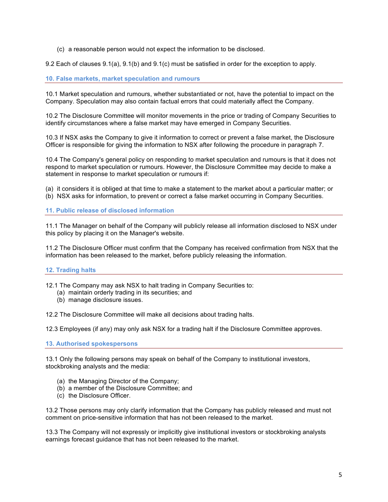(c) a reasonable person would not expect the information to be disclosed.

9.2 Each of clauses 9.1(a), 9.1(b) and 9.1(c) must be satisfied in order for the exception to apply.

# **10. False markets, market speculation and rumours**

10.1 Market speculation and rumours, whether substantiated or not, have the potential to impact on the Company. Speculation may also contain factual errors that could materially affect the Company.

10.2 The Disclosure Committee will monitor movements in the price or trading of Company Securities to identify circumstances where a false market may have emerged in Company Securities.

10.3 If NSX asks the Company to give it information to correct or prevent a false market, the Disclosure Officer is responsible for giving the information to NSX after following the procedure in paragraph 7.

10.4 The Company's general policy on responding to market speculation and rumours is that it does not respond to market speculation or rumours. However, the Disclosure Committee may decide to make a statement in response to market speculation or rumours if:

(a) it considers it is obliged at that time to make a statement to the market about a particular matter; or (b) NSX asks for information, to prevent or correct a false market occurring in Company Securities.

# **11. Public release of disclosed information**

11.1 The Manager on behalf of the Company will publicly release all information disclosed to NSX under this policy by placing it on the Manager's website.

11.2 The Disclosure Officer must confirm that the Company has received confirmation from NSX that the information has been released to the market, before publicly releasing the information.

# **12. Trading halts**

12.1 The Company may ask NSX to halt trading in Company Securities to:

- (a) maintain orderly trading in its securities; and
- (b) manage disclosure issues.

12.2 The Disclosure Committee will make all decisions about trading halts.

12.3 Employees (if any) may only ask NSX for a trading halt if the Disclosure Committee approves.

**13. Authorised spokespersons**

13.1 Only the following persons may speak on behalf of the Company to institutional investors, stockbroking analysts and the media:

- (a) the Managing Director of the Company;
- (b) a member of the Disclosure Committee; and
- (c) the Disclosure Officer.

13.2 Those persons may only clarify information that the Company has publicly released and must not comment on price-sensitive information that has not been released to the market.

13.3 The Company will not expressly or implicitly give institutional investors or stockbroking analysts earnings forecast guidance that has not been released to the market.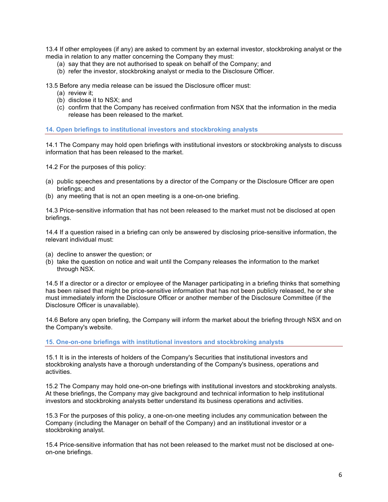13.4 If other employees (if any) are asked to comment by an external investor, stockbroking analyst or the media in relation to any matter concerning the Company they must:

- (a) say that they are not authorised to speak on behalf of the Company; and
- (b) refer the investor, stockbroking analyst or media to the Disclosure Officer.

13.5 Before any media release can be issued the Disclosure officer must:

- (a) review it;
- (b) disclose it to NSX; and
- (c) confirm that the Company has received confirmation from NSX that the information in the media release has been released to the market.

**14. Open briefings to institutional investors and stockbroking analysts**

14.1 The Company may hold open briefings with institutional investors or stockbroking analysts to discuss information that has been released to the market.

14.2 For the purposes of this policy:

- (a) public speeches and presentations by a director of the Company or the Disclosure Officer are open briefings; and
- (b) any meeting that is not an open meeting is a one-on-one briefing.

14.3 Price-sensitive information that has not been released to the market must not be disclosed at open briefings.

14.4 If a question raised in a briefing can only be answered by disclosing price-sensitive information, the relevant individual must:

- (a) decline to answer the question; or
- (b) take the question on notice and wait until the Company releases the information to the market through NSX.

14.5 If a director or a director or employee of the Manager participating in a briefing thinks that something has been raised that might be price-sensitive information that has not been publicly released, he or she must immediately inform the Disclosure Officer or another member of the Disclosure Committee (if the Disclosure Officer is unavailable).

14.6 Before any open briefing, the Company will inform the market about the briefing through NSX and on the Company's website.

## **15. One-on-one briefings with institutional investors and stockbroking analysts**

15.1 It is in the interests of holders of the Company's Securities that institutional investors and stockbroking analysts have a thorough understanding of the Company's business, operations and activities.

15.2 The Company may hold one-on-one briefings with institutional investors and stockbroking analysts. At these briefings, the Company may give background and technical information to help institutional investors and stockbroking analysts better understand its business operations and activities.

15.3 For the purposes of this policy, a one-on-one meeting includes any communication between the Company (including the Manager on behalf of the Company) and an institutional investor or a stockbroking analyst.

15.4 Price-sensitive information that has not been released to the market must not be disclosed at oneon-one briefings.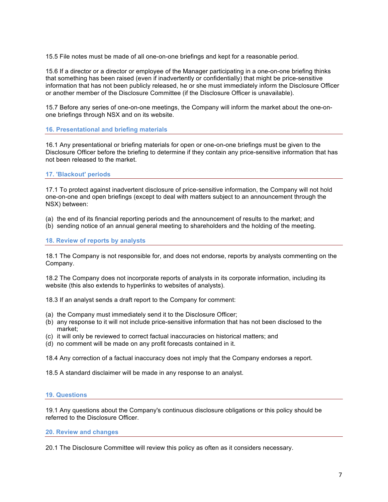15.5 File notes must be made of all one-on-one briefings and kept for a reasonable period.

15.6 If a director or a director or employee of the Manager participating in a one-on-one briefing thinks that something has been raised (even if inadvertently or confidentially) that might be price-sensitive information that has not been publicly released, he or she must immediately inform the Disclosure Officer or another member of the Disclosure Committee (if the Disclosure Officer is unavailable).

15.7 Before any series of one-on-one meetings, the Company will inform the market about the one-onone briefings through NSX and on its website.

**16. Presentational and briefing materials**

16.1 Any presentational or briefing materials for open or one-on-one briefings must be given to the Disclosure Officer before the briefing to determine if they contain any price-sensitive information that has not been released to the market.

# **17. 'Blackout' periods**

17.1 To protect against inadvertent disclosure of price-sensitive information, the Company will not hold one-on-one and open briefings (except to deal with matters subject to an announcement through the NSX) between:

(a) the end of its financial reporting periods and the announcement of results to the market; and

(b) sending notice of an annual general meeting to shareholders and the holding of the meeting.

## **18. Review of reports by analysts**

18.1 The Company is not responsible for, and does not endorse, reports by analysts commenting on the Company.

18.2 The Company does not incorporate reports of analysts in its corporate information, including its website (this also extends to hyperlinks to websites of analysts).

18.3 If an analyst sends a draft report to the Company for comment:

- (a) the Company must immediately send it to the Disclosure Officer;
- (b) any response to it will not include price-sensitive information that has not been disclosed to the market;
- (c) it will only be reviewed to correct factual inaccuracies on historical matters; and
- (d) no comment will be made on any profit forecasts contained in it.

18.4 Any correction of a factual inaccuracy does not imply that the Company endorses a report.

18.5 A standard disclaimer will be made in any response to an analyst.

## **19. Questions**

19.1 Any questions about the Company's continuous disclosure obligations or this policy should be referred to the Disclosure Officer.

**20. Review and changes**

20.1 The Disclosure Committee will review this policy as often as it considers necessary.